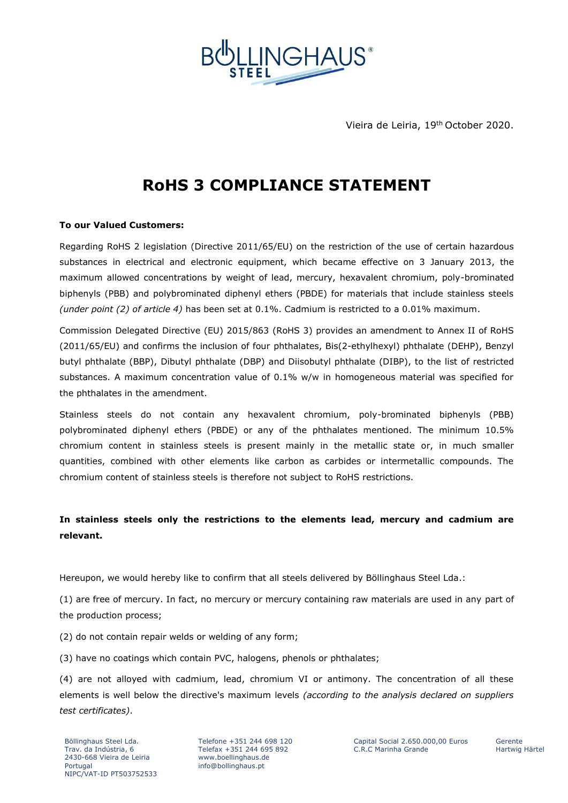

Vieira de Leiria, 19th October 2020.

## **RoHS 3 COMPLIANCE STATEMENT**

## **To our Valued Customers:**

Regarding RoHS 2 legislation (Directive 2011/65/EU) on the restriction of the use of certain hazardous substances in electrical and electronic equipment, which became effective on 3 January 2013, the maximum allowed concentrations by weight of lead, mercury, hexavalent chromium, poly-brominated biphenyls (PBB) and polybrominated diphenyl ethers (PBDE) for materials that include stainless steels *(under point (2) of article 4)* has been set at 0.1%. Cadmium is restricted to a 0.01% maximum.

Commission Delegated Directive (EU) 2015/863 (RoHS 3) provides an amendment to Annex II of RoHS (2011/65/EU) and confirms the inclusion of four phthalates, Bis(2-ethylhexyl) phthalate (DEHP), Benzyl butyl phthalate (BBP), Dibutyl phthalate (DBP) and Diisobutyl phthalate (DIBP), to the list of restricted substances. A maximum concentration value of 0.1% w/w in homogeneous material was specified for the phthalates in the amendment.

Stainless steels do not contain any hexavalent chromium, poly-brominated biphenyls (PBB) polybrominated diphenyl ethers (PBDE) or any of the phthalates mentioned. The minimum 10.5% chromium content in stainless steels is present mainly in the metallic state or, in much smaller quantities, combined with other elements like carbon as carbides or intermetallic compounds. The chromium content of stainless steels is therefore not subject to RoHS restrictions.

## **In stainless steels only the restrictions to the elements lead, mercury and cadmium are relevant.**

Hereupon, we would hereby like to confirm that all steels delivered by Böllinghaus Steel Lda.:

(1) are free of mercury. In fact, no mercury or mercury containing raw materials are used in any part of the production process;

(2) do not contain repair welds or welding of any form;

(3) have no coatings which contain PVC, halogens, phenols or phthalates;

(4) are not alloyed with cadmium, lead, chromium VI or antimony. The concentration of all these elements is well below the directive's maximum levels *(according to the analysis declared on suppliers test certificates)*.

Telefone +351 244 698 120 Telefax +351 244 695 892 www.boellinghaus.de info@bollinghaus.pt

Capital Social 2.650.000,00 Euros C.R.C Marinha Grande